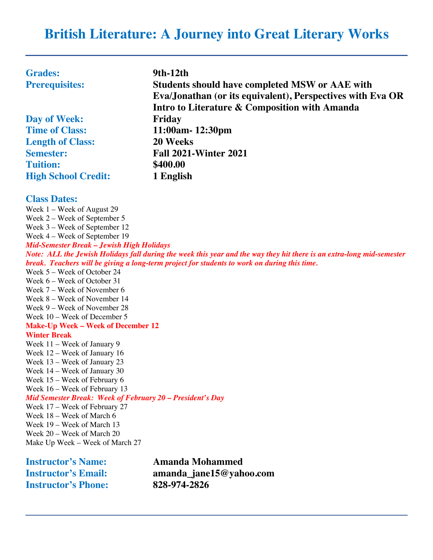# **British Literature: A Journey into Great Literary Works**

| <b>Grades:</b>             | 9th-12th                                                   |
|----------------------------|------------------------------------------------------------|
| <b>Prerequisites:</b>      | <b>Students should have completed MSW or AAE with</b>      |
|                            | Eva/Jonathan (or its equivalent), Perspectives with Eva OR |
|                            | Intro to Literature & Composition with Amanda              |
| Day of Week:               | Friday                                                     |
| <b>Time of Class:</b>      | 11:00am-12:30pm                                            |
| <b>Length of Class:</b>    | 20 Weeks                                                   |
| <b>Semester:</b>           | <b>Fall 2021-Winter 2021</b>                               |
| <b>Tuition:</b>            | \$400.00                                                   |
| <b>High School Credit:</b> | 1 English                                                  |

#### **Class Dates:**

Week 1 – Week of August 29 Week 2 – Week of September 5 Week 3 – Week of September 12 Week 4 – Week of September 19 *Mid-Semester Break – Jewish High Holidays Note: ALL the Jewish Holidays fall during the week this year and the way they hit there is an extra-long mid-semester break. Teachers will be giving a long-term project for students to work on during this time.* Week 5 – Week of October 24 Week 6 – Week of October 31 Week 7 – Week of November 6 Week 8 – Week of November 14 Week 9 – Week of November 28 Week 10 – Week of December 5 **Make-Up Week – Week of December 12 Winter Break** Week 11 – Week of January 9 Week 12 – Week of January 16 Week 13 – Week of January 23 Week 14 – Week of January 30 Week 15 – Week of February 6 Week 16 – Week of February 13 *Mid Semester Break: Week of February 20 – President's Day* Week 17 – Week of February 27 Week 18 – Week of March 6 Week 19 – Week of March 13 Week 20 – Week of March 20 Make Up Week – Week of March 27

| <b>Instructor's Name:</b>  | Amanda Mohammed         |
|----------------------------|-------------------------|
| <b>Instructor's Email:</b> | amanda_jane15@yahoo.com |
| <b>Instructor's Phone:</b> | 828-974-2826            |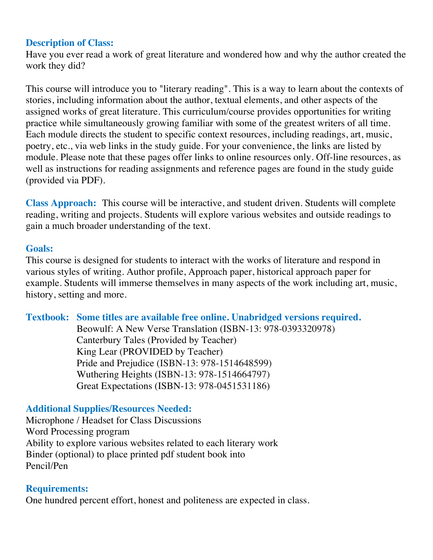## **Description of Class:**

Have you ever read a work of great literature and wondered how and why the author created the work they did?

This course will introduce you to "literary reading". This is a way to learn about the contexts of stories, including information about the author, textual elements, and other aspects of the assigned works of great literature. This curriculum/course provides opportunities for writing practice while simultaneously growing familiar with some of the greatest writers of all time. Each module directs the student to specific context resources, including readings, art, music, poetry, etc., via web links in the study guide. For your convenience, the links are listed by module. Please note that these pages offer links to online resources only. Off-line resources, as well as instructions for reading assignments and reference pages are found in the study guide (provided via PDF).

**Class Approach:** This course will be interactive, and student driven. Students will complete reading, writing and projects. Students will explore various websites and outside readings to gain a much broader understanding of the text.

### **Goals:**

This course is designed for students to interact with the works of literature and respond in various styles of writing. Author profile, Approach paper, historical approach paper for example. Students will immerse themselves in many aspects of the work including art, music, history, setting and more.

### **Textbook: Some titles are available free online. Unabridged versions required.**

Beowulf: A New Verse Translation (ISBN-13: 978-0393320978) Canterbury Tales (Provided by Teacher) King Lear (PROVIDED by Teacher) Pride and Prejudice (ISBN-13: 978-1514648599) Wuthering Heights (ISBN-13: 978-1514664797) Great Expectations (ISBN-13: 978-0451531186)

### **Additional Supplies/Resources Needed:**

Microphone / Headset for Class Discussions Word Processing program Ability to explore various websites related to each literary work Binder (optional) to place printed pdf student book into Pencil/Pen

### **Requirements:**

One hundred percent effort, honest and politeness are expected in class.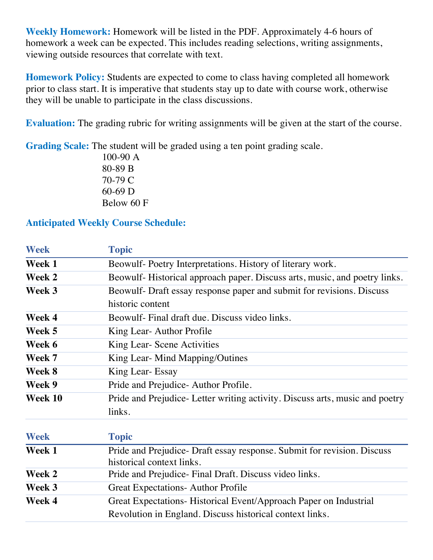**Weekly Homework:** Homework will be listed in the PDF. Approximately 4-6 hours of homework a week can be expected. This includes reading selections, writing assignments, viewing outside resources that correlate with text.

**Homework Policy:** Students are expected to come to class having completed all homework prior to class start. It is imperative that students stay up to date with course work, otherwise they will be unable to participate in the class discussions.

**Evaluation:** The grading rubric for writing assignments will be given at the start of the course.

**Grading Scale:** The student will be graded using a ten point grading scale.

100-90 A 80-89 B 70-79 C 60-69 D Below 60 F

# **Anticipated Weekly Course Schedule:**

| <b>Week</b> | <b>Topic</b>                                                                                        |
|-------------|-----------------------------------------------------------------------------------------------------|
| Week 1      | Beowulf-Poetry Interpretations. History of literary work.                                           |
| Week 2      | Beowulf-Historical approach paper. Discuss arts, music, and poetry links.                           |
| Week 3      | Beowulf- Draft essay response paper and submit for revisions. Discuss                               |
|             | historic content                                                                                    |
| Week 4      | Beowulf- Final draft due. Discuss video links.                                                      |
| Week 5      | King Lear-Author Profile                                                                            |
| Week 6      | King Lear- Scene Activities                                                                         |
| Week 7      | King Lear- Mind Mapping/Outines                                                                     |
| Week 8      | King Lear- Essay                                                                                    |
| Week 9      | Pride and Prejudice-Author Profile.                                                                 |
| Week 10     | Pride and Prejudice-Letter writing activity. Discuss arts, music and poetry                         |
|             | links.                                                                                              |
| <b>Week</b> | <b>Topic</b>                                                                                        |
| Week 1      | Pride and Prejudice-Draft essay response. Submit for revision. Discuss<br>historical context links. |
| Week 2      | Pride and Prejudice-Final Draft. Discuss video links.                                               |
| Week 3      | <b>Great Expectations-Author Profile</b>                                                            |
| Week 4      | Great Expectations-Historical Event/Approach Paper on Industrial                                    |
|             | Revolution in England. Discuss historical context links.                                            |